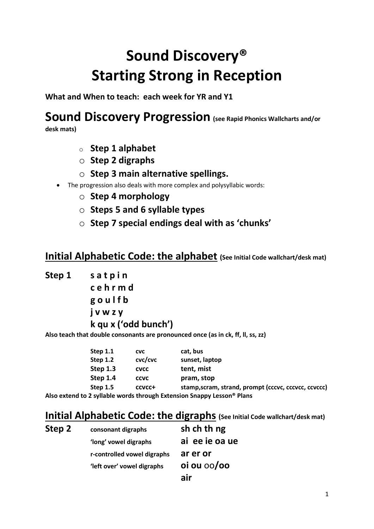# Sound Discovery® Starting Strong in Reception

What and When to teach: each week for YR and Y1

# Sound Discovery Progression (see Rapid Phonics Wallcharts and/or

desk mats)

- $\circ$  Step 1 alphabet
- $\circ$  Step 2 digraphs
- $\circ$  Step 3 main alternative spellings.
- The progression also deals with more complex and polysyllabic words:
	- o Step 4 morphology
	- $\circ$  Steps 5 and 6 syllable types
	- $\circ$  Step 7 special endings deal with as 'chunks'

# Initial Alphabetic Code: the alphabet (See Initial Code wallchart/desk mat)

Step 1 satpin

Step 2

 c e h r m d g o u l f b j v w z y k qu x ('odd bunch')

Also teach that double consonants are pronounced once (as in ck, ff, ll, ss, zz)

| Step $1.1$ | <b>CVC</b>  | cat, bus                                                               |
|------------|-------------|------------------------------------------------------------------------|
| Step 1.2   | cvc/cvc     | sunset, laptop                                                         |
| Step 1.3   | <b>CVCC</b> | tent, mist                                                             |
| Step 1.4   | <b>CCVC</b> | pram, stop                                                             |
| Step 1.5   | CCVCC+      | stamp, scram, strand, prompt (cccvc, cccvcc, ccvccc)                   |
|            |             | Also extend to 2 syllable words through Extension Snappy Lesson® Plans |

# **Initial Alphabetic Code: the digraphs** (See Initial Code wallchart/desk mat)

| Step 2 | consonant digraphs          | sh ch th ng        |
|--------|-----------------------------|--------------------|
|        | 'long' vowel digraphs       | ai ee ie oa ue     |
|        | r-controlled vowel digraphs | ar er or           |
|        | 'left over' vowel digraphs  | $o$ i ou $o$ oo/oo |
|        |                             | air                |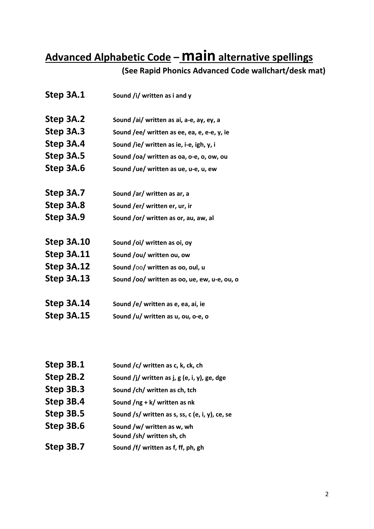# Advanced Alphabetic Code - **Main** alternative spellings

# (See Rapid Phonics Advanced Code wallchart/desk mat)

| Step 3A.1  | Sound /i/ written as i and y                 |
|------------|----------------------------------------------|
| Step 3A.2  | Sound /ai/ written as ai, a-e, ay, ey, a     |
| Step 3A.3  | Sound /ee/ written as ee, ea, e, e-e, y, ie  |
| Step 3A.4  | Sound /ie/ written as ie, i-e, igh, y, i     |
| Step 3A.5  | Sound /oa/ written as oa, o-e, o, ow, ou     |
| Step 3A.6  | Sound /ue/ written as ue, u-e, u, ew         |
|            |                                              |
| Step 3A.7  | Sound /ar/ written as ar, a                  |
| Step 3A.8  | Sound /er/ written er, ur, ir                |
| Step 3A.9  | Sound /or/ written as or, au, aw, al         |
|            |                                              |
| Step 3A.10 | Sound /oi/ written as oi, oy                 |
| Step 3A.11 | Sound /ou/ written ou, ow                    |
| Step 3A.12 | Sound /00/ written as 00, oul, u             |
| Step 3A.13 | Sound /oo/ written as oo, ue, ew, u-e, ou, o |
|            |                                              |
| Step 3A.14 | Sound /e/ written as e, ea, ai, ie           |
| Step 3A.15 | Sound /u/ written as u, ou, o-e, o           |
|            |                                              |

| Step 3B.1 | Sound /c/ written as c, k, ck, ch                       |
|-----------|---------------------------------------------------------|
| Step 2B.2 | Sound /j/ written as j, g (e, i, y), ge, dge            |
| Step 3B.3 | Sound /ch/ written as ch, tch                           |
| Step 3B.4 | Sound $\log + k$ written as nk                          |
| Step 3B.5 | Sound /s/ written as s, ss, c (e, i, y), ce, se         |
| Step 3B.6 | Sound /w/ written as w, wh<br>Sound /sh/ written sh, ch |
| Step 3B.7 | Sound /f/ written as f, ff, ph, gh                      |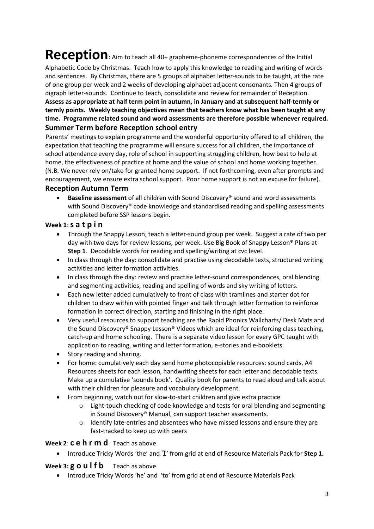# Reception: Aim to teach all 40+ grapheme-phoneme correspondences of the Initial

Alphabetic Code by Christmas. Teach how to apply this knowledge to reading and writing of words and sentences. By Christmas, there are 5 groups of alphabet letter-sounds to be taught, at the rate of one group per week and 2 weeks of developing alphabet adjacent consonants. Then 4 groups of digraph letter-sounds. Continue to teach, consolidate and review for remainder of Reception. Assess as appropriate at half term point in autumn, in January and at subsequent half-termly or termly points. Weekly teaching objectives mean that teachers know what has been taught at any time. Programme related sound and word assessments are therefore possible whenever required.

## Summer Term before Reception school entry

Parents' meetings to explain programme and the wonderful opportunity offered to all children, the expectation that teaching the programme will ensure success for all children, the importance of school attendance every day, role of school in supporting struggling children, how best to help at home, the effectiveness of practice at home and the value of school and home working together. (N.B. We never rely on/take for granted home support. If not forthcoming, even after prompts and encouragement, we ensure extra school support. Poor home support is not an excuse for failure).

#### Reception Autumn Term

● Baseline assessment of all children with Sound Discovery<sup>®</sup> sound and word assessments with Sound Discovery<sup>®</sup> code knowledge and standardised reading and spelling assessments completed before SSP lessons begin.

#### Week 1:  $s$  a t  $p$  i n

- Through the Snappy Lesson, teach a letter-sound group per week. Suggest a rate of two per day with two days for review lessons, per week. Use Big Book of Snappy Lesson® Plans at Step 1. Decodable words for reading and spelling/writing at cvc level.
- In class through the day: consolidate and practise using decodable texts, structured writing activities and letter formation activities.
- In class through the day: review and practise letter-sound correspondences, oral blending and segmenting activities, reading and spelling of words and sky writing of letters.
- Each new letter added cumulatively to front of class with tramlines and starter dot for children to draw within with pointed finger and talk through letter formation to reinforce formation in correct direction, starting and finishing in the right place.
- Very useful resources to support teaching are the Rapid Phonics Wallcharts/ Desk Mats and the Sound Discovery® Snappy Lesson® Videos which are ideal for reinforcing class teaching, catch-up and home schooling. There is a separate video lesson for every GPC taught with application to reading, writing and letter formation, e-stories and e-booklets.
- Story reading and sharing.
- For home: cumulatively each day send home photocopiable resources: sound cards, A4 Resources sheets for each lesson, handwriting sheets for each letter and decodable texts. Make up a cumulative 'sounds book'. Quality book for parents to read aloud and talk about with their children for pleasure and vocabulary development.
- From beginning, watch out for slow-to-start children and give extra practice
	- $\circ$  Light-touch checking of code knowledge and tests for oral blending and segmenting in Sound Discovery® Manual, can support teacher assessments.
	- Identify late-entries and absentees who have missed lessons and ensure they are fast-tracked to keep up with peers

#### Week 2: **c e h r m d** Teach as above

• Introduce Tricky Words 'the' and 'I' from grid at end of Resource Materials Pack for Step 1.

### Week 3:  $g \circ u$  I f b Teach as above

Introduce Tricky Words 'he' and 'to' from grid at end of Resource Materials Pack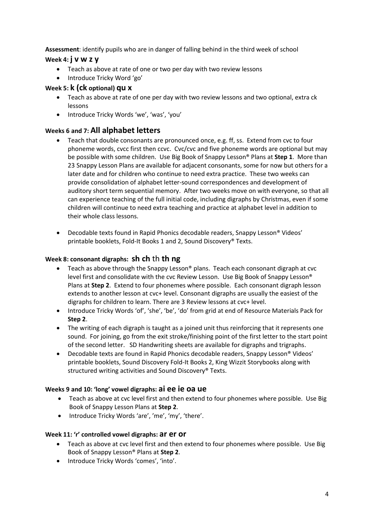Assessment: identify pupils who are in danger of falling behind in the third week of school

### Week 4: **j** V W Z V

- Teach as above at rate of one or two per day with two review lessons
- Introduce Tricky Word 'go'

### Week 5: k (ck optional) qu x

- Teach as above at rate of one per day with two review lessons and two optional, extra ck lessons
- Introduce Tricky Words 'we', 'was', 'you'

#### Weeks 6 and 7: All alphabet letters

- Teach that double consonants are pronounced once, e.g. ff, ss. Extend from cvc to four phoneme words, cvcc first then ccvc. Cvc/cvc and five phoneme words are optional but may be possible with some children. Use Big Book of Snappy Lesson® Plans at Step 1. More than 23 Snappy Lesson Plans are available for adjacent consonants, some for now but others for a later date and for children who continue to need extra practice. These two weeks can provide consolidation of alphabet letter-sound correspondences and development of auditory short term sequential memory. After two weeks move on with everyone, so that all can experience teaching of the full initial code, including digraphs by Christmas, even if some children will continue to need extra teaching and practice at alphabet level in addition to their whole class lessons.
- Decodable texts found in Rapid Phonics decodable readers, Snappy Lesson® Videos' printable booklets, Fold-It Books 1 and 2, Sound Discovery® Texts.

#### Week 8: consonant digraphs: sh ch th th ng

- Teach as above through the Snappy Lesson® plans. Teach each consonant digraph at cvc level first and consolidate with the cvc Review Lesson. Use Big Book of Snappy Lesson® Plans at Step 2. Extend to four phonemes where possible. Each consonant digraph lesson extends to another lesson at cvc+ level. Consonant digraphs are usually the easiest of the digraphs for children to learn. There are 3 Review lessons at cvc+ level.
- Introduce Tricky Words 'of', 'she', 'be', 'do' from grid at end of Resource Materials Pack for Step 2.
- The writing of each digraph is taught as a joined unit thus reinforcing that it represents one sound. For joining, go from the exit stroke/finishing point of the first letter to the start point of the second letter. SD Handwriting sheets are available for digraphs and trigraphs.
- Decodable texts are found in Rapid Phonics decodable readers, Snappy Lesson® Videos' printable booklets, Sound Discovery Fold-It Books 2, King Wizzit Storybooks along with structured writing activities and Sound Discovery® Texts.

#### Weeks 9 and 10: 'long' vowel digraphs: ai ee ie oa ue

- Teach as above at cvc level first and then extend to four phonemes where possible. Use Big Book of Snappy Lesson Plans at Step 2.
- Introduce Tricky Words 'are', 'me', 'my', 'there'.

#### Week 11: 'r' controlled vowel digraphs: ar er or

- Teach as above at cvc level first and then extend to four phonemes where possible. Use Big Book of Snappy Lesson® Plans at Step 2.
- Introduce Tricky Words 'comes', 'into'.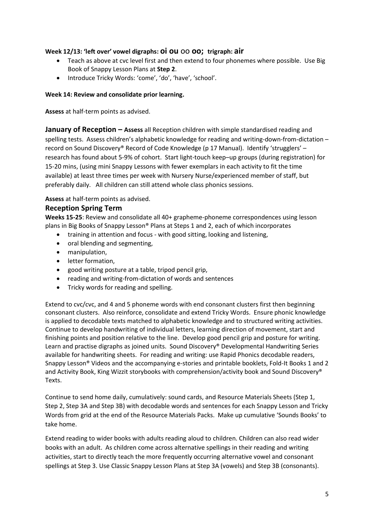#### Week 12/13: 'left over' vowel digraphs: Oi OU 00 OO; trigraph: air

- Teach as above at cvc level first and then extend to four phonemes where possible. Use Big Book of Snappy Lesson Plans at Step 2.
- Introduce Tricky Words: 'come', 'do', 'have', 'school'.

#### Week 14: Review and consolidate prior learning.

Assess at half-term points as advised.

January of Reception – Assess all Reception children with simple standardised reading and spelling tests. Assess children's alphabetic knowledge for reading and writing-down-from-dictation – record on Sound Discovery® Record of Code Knowledge (p 17 Manual). Identify 'strugglers' – research has found about 5-9% of cohort. Start light-touch keep–up groups (during registration) for 15-20 mins, (using mini Snappy Lessons with fewer exemplars in each activity to fit the time available) at least three times per week with Nursery Nurse/experienced member of staff, but preferably daily. All children can still attend whole class phonics sessions.

#### Assess at half-term points as advised.

#### Reception Spring Term

Weeks 15-25: Review and consolidate all 40+ grapheme-phoneme correspondences using lesson plans in Big Books of Snappy Lesson® Plans at Steps 1 and 2, each of which incorporates

- training in attention and focus with good sitting, looking and listening,
- oral blending and segmenting,
- manipulation,
- letter formation,
- good writing posture at a table, tripod pencil grip,
- reading and writing-from-dictation of words and sentences
- Tricky words for reading and spelling.

Extend to cvc/cvc, and 4 and 5 phoneme words with end consonant clusters first then beginning consonant clusters. Also reinforce, consolidate and extend Tricky Words. Ensure phonic knowledge is applied to decodable texts matched to alphabetic knowledge and to structured writing activities. Continue to develop handwriting of individual letters, learning direction of movement, start and finishing points and position relative to the line. Develop good pencil grip and posture for writing. Learn and practise digraphs as joined units. Sound Discovery® Developmental Handwriting Series available for handwriting sheets. For reading and writing: use Rapid Phonics decodable readers, Snappy Lesson® Videos and the accompanying e-stories and printable booklets, Fold-It Books 1 and 2 and Activity Book, King Wizzit storybooks with comprehension/activity book and Sound Discovery® Texts.

Continue to send home daily, cumulatively: sound cards, and Resource Materials Sheets (Step 1, Step 2, Step 3A and Step 3B) with decodable words and sentences for each Snappy Lesson and Tricky Words from grid at the end of the Resource Materials Packs. Make up cumulative 'Sounds Books' to take home.

Extend reading to wider books with adults reading aloud to children. Children can also read wider books with an adult. As children come across alternative spellings in their reading and writing activities, start to directly teach the more frequently occurring alternative vowel and consonant spellings at Step 3. Use Classic Snappy Lesson Plans at Step 3A (vowels) and Step 3B (consonants).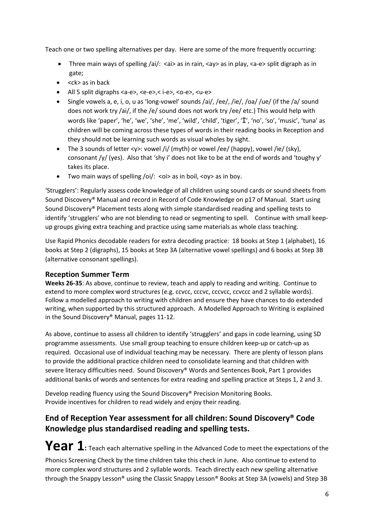Teach one or two spelling alternatives per day. Here are some of the more frequently occurring:

- Three main ways of spelling /ai/: <ai> as in rain, <ay> as in play, <a-e> split digraph as in gate;
- $\bullet \quad$  <ck> as in back
- $\bullet$  All 5 split digraphs <a-e>, <e-e>, <i-e>, <o-e>, <u-e>
- Single vowels a, e, i, o, u as 'long-vowel' sounds /ai/, /ee/, /ie/, /oa/ /ue/ (if the /a/ sound does not work try /ai/, if the /e/ sound does not work try /ee/ etc.) This would help with words like 'paper', 'he', 'we', 'she', 'me', 'wild', 'child', 'tiger', 'I', 'no', 'so', 'music', 'tuna' as children will be coming across these types of words in their reading books in Reception and they should not be learning such words as visual wholes by sight.
- The 3 sounds of letter  $\langle y \rangle$ : vowel /i/ (myth) or vowel /ee/ (happy), vowel /ie/ (sky), consonant /y/ (yes). Also that 'shy i' does not like to be at the end of words and 'toughy y' takes its place.
- Two main ways of spelling /oi/:  $\langle$ oi> as in boil,  $\langle$ oy> as in boy.

'Strugglers': Regularly assess code knowledge of all children using sound cards or sound sheets from Sound Discovery® Manual and record in Record of Code Knowledge on p17 of Manual. Start using Sound Discovery® Placement tests along with simple standardised reading and spelling tests to identify 'strugglers' who are not blending to read or segmenting to spell. Continue with small keepup groups giving extra teaching and practice using same materials as whole class teaching.

Use Rapid Phonics decodable readers for extra decoding practice: 18 books at Step 1 (alphabet), 16 books at Step 2 (digraphs), 15 books at Step 3A (alternative vowel spellings) and 6 books at Step 3B (alternative consonant spellings).

### Reception Summer Term

Weeks 26-35: As above, continue to review, teach and apply to reading and writing. Continue to extend to more complex word structures (e.g. ccvcc, cccvc, ccvccc, ccvccc and 2 syllable words). Follow a modelled approach to writing with children and ensure they have chances to do extended writing, when supported by this structured approach. A Modelled Approach to Writing is explained in the Sound Discovery® Manual, pages 11-12.

As above, continue to assess all children to identify 'strugglers' and gaps in code learning, using SD programme assessments. Use small group teaching to ensure children keep-up or catch-up as required. Occasional use of individual teaching may be necessary. There are plenty of lesson plans to provide the additional practice children need to consolidate learning and that children with severe literacy difficulties need. Sound Discovery® Words and Sentences Book, Part 1 provides additional banks of words and sentences for extra reading and spelling practice at Steps 1, 2 and 3.

Develop reading fluency using the Sound Discovery® Precision Monitoring Books. Provide incentives for children to read widely and enjoy their reading.

# End of Reception Year assessment for all children: Sound Discovery® Code Knowledge plus standardised reading and spelling tests.

Year 1: Teach each alternative spelling in the Advanced Code to meet the expectations of the Phonics Screening Check by the time children take this check in June. Also continue to extend to more complex word structures and 2 syllable words. Teach directly each new spelling alternative through the Snappy Lesson® using the Classic Snappy Lesson® Books at Step 3A (vowels) and Step 3B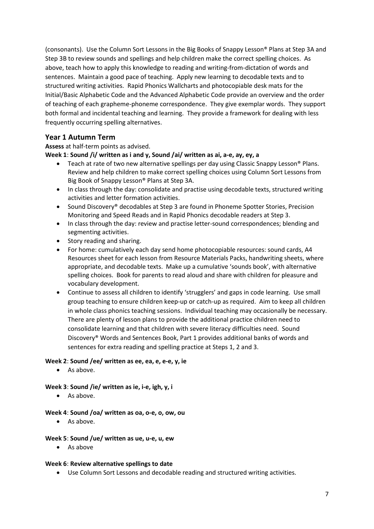(consonants). Use the Column Sort Lessons in the Big Books of Snappy Lesson® Plans at Step 3A and Step 3B to review sounds and spellings and help children make the correct spelling choices. As above, teach how to apply this knowledge to reading and writing-from-dictation of words and sentences. Maintain a good pace of teaching. Apply new learning to decodable texts and to structured writing activities. Rapid Phonics Wallcharts and photocopiable desk mats for the Initial/Basic Alphabetic Code and the Advanced Alphabetic Code provide an overview and the order of teaching of each grapheme-phoneme correspondence. They give exemplar words. They support both formal and incidental teaching and learning. They provide a framework for dealing with less frequently occurring spelling alternatives.

## Year 1 Autumn Term

Assess at half-term points as advised.

Week 1: Sound /i/ written as i and y, Sound /ai/ written as ai, a-e, ay, ey, a

- Teach at rate of two new alternative spellings per day using Classic Snappy Lesson® Plans. Review and help children to make correct spelling choices using Column Sort Lessons from Big Book of Snappy Lesson® Plans at Step 3A.
- In class through the day: consolidate and practise using decodable texts, structured writing activities and letter formation activities.
- Sound Discovery<sup>®</sup> decodables at Step 3 are found in Phoneme Spotter Stories, Precision Monitoring and Speed Reads and in Rapid Phonics decodable readers at Step 3.
- In class through the day: review and practise letter-sound correspondences; blending and segmenting activities.
- Story reading and sharing.
- For home: cumulatively each day send home photocopiable resources: sound cards, A4 Resources sheet for each lesson from Resource Materials Packs, handwriting sheets, where appropriate, and decodable texts. Make up a cumulative 'sounds book', with alternative spelling choices. Book for parents to read aloud and share with children for pleasure and vocabulary development.
- Continue to assess all children to identify 'strugglers' and gaps in code learning. Use small group teaching to ensure children keep-up or catch-up as required. Aim to keep all children in whole class phonics teaching sessions. Individual teaching may occasionally be necessary. There are plenty of lesson plans to provide the additional practice children need to consolidate learning and that children with severe literacy difficulties need. Sound Discovery® Words and Sentences Book, Part 1 provides additional banks of words and sentences for extra reading and spelling practice at Steps 1, 2 and 3.

#### Week 2: Sound /ee/ written as ee, ea, e, e-e, y, ie

• As above.

#### Week 3: Sound /ie/ written as ie, i-e, igh, y, i

• As above.

#### Week 4: Sound /oa/ written as oa, o-e, o, ow, ou

• As above.

#### Week 5: Sound /ue/ written as ue, u-e, u, ew

• As above

#### Week 6: Review alternative spellings to date

Use Column Sort Lessons and decodable reading and structured writing activities.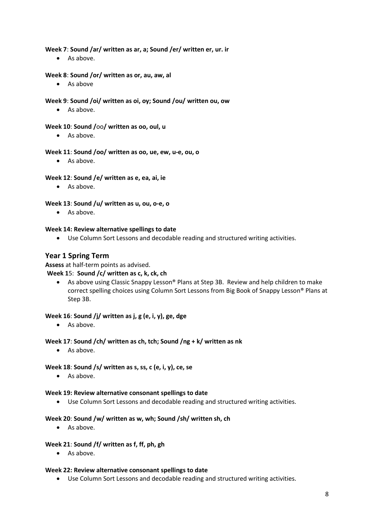#### Week 7: Sound /ar/ written as ar, a; Sound /er/ written er, ur. ir

• As above.

#### Week 8: Sound /or/ written as or, au, aw, al

As above

#### Week 9: Sound /oi/ written as oi, oy; Sound /ou/ written ou, ow

• As above.

#### Week 10: Sound /oo/ written as oo, oul, u

• As above.

#### Week 11: Sound /oo/ written as oo, ue, ew, u-e, ou, o

As above.

#### Week 12: Sound /e/ written as e, ea, ai, ie

• As above.

#### Week 13: Sound /u/ written as u, ou, o-e, o

• As above.

#### Week 14: Review alternative spellings to date

Use Column Sort Lessons and decodable reading and structured writing activities.

#### Year 1 Spring Term

#### Assess at half-term points as advised.

#### Week 15: Sound /c/ written as c, k, ck, ch

 As above using Classic Snappy Lesson® Plans at Step 3B. Review and help children to make correct spelling choices using Column Sort Lessons from Big Book of Snappy Lesson® Plans at Step 3B.

#### Week 16: Sound /j/ written as j, g (e, i, y), ge, dge

• As above.

#### Week 17: Sound /ch/ written as ch, tch; Sound /ng + k/ written as nk

• As above.

#### Week 18: Sound /s/ written as s, ss, c (e, i, y), ce, se

 $\bullet$  As above.

#### Week 19: Review alternative consonant spellings to date

Use Column Sort Lessons and decodable reading and structured writing activities.

#### Week 20: Sound /w/ written as w, wh; Sound /sh/ written sh, ch

As above.

#### Week 21: Sound /f/ written as f, ff, ph, gh

• As above.

#### Week 22: Review alternative consonant spellings to date

Use Column Sort Lessons and decodable reading and structured writing activities.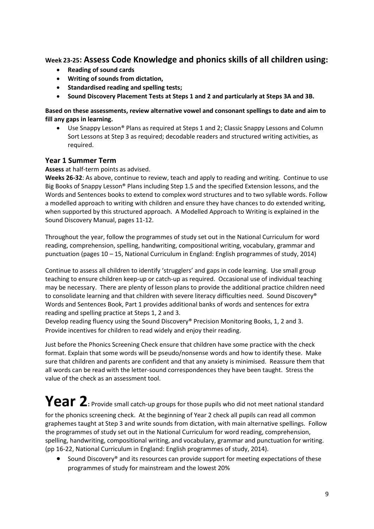## Week 23-25: Assess Code Knowledge and phonics skills of all children using:

- Reading of sound cards
- Writing of sounds from dictation,
- Standardised reading and spelling tests:
- Sound Discovery Placement Tests at Steps 1 and 2 and particularly at Steps 3A and 3B.

#### Based on these assessments, review alternative vowel and consonant spellings to date and aim to fill any gaps in learning.

 Use Snappy Lesson® Plans as required at Steps 1 and 2; Classic Snappy Lessons and Column Sort Lessons at Step 3 as required; decodable readers and structured writing activities, as required.

## Year 1 Summer Term

#### Assess at half-term points as advised.

Weeks 26-32: As above, continue to review, teach and apply to reading and writing. Continue to use Big Books of Snappy Lesson® Plans including Step 1.5 and the specified Extension lessons, and the Words and Sentences books to extend to complex word structures and to two syllable words. Follow a modelled approach to writing with children and ensure they have chances to do extended writing, when supported by this structured approach. A Modelled Approach to Writing is explained in the Sound Discovery Manual, pages 11-12.

Throughout the year, follow the programmes of study set out in the National Curriculum for word reading, comprehension, spelling, handwriting, compositional writing, vocabulary, grammar and punctuation (pages 10 – 15, National Curriculum in England: English programmes of study, 2014)

Continue to assess all children to identify 'strugglers' and gaps in code learning. Use small group teaching to ensure children keep-up or catch-up as required. Occasional use of individual teaching may be necessary. There are plenty of lesson plans to provide the additional practice children need to consolidate learning and that children with severe literacy difficulties need. Sound Discovery® Words and Sentences Book, Part 1 provides additional banks of words and sentences for extra reading and spelling practice at Steps 1, 2 and 3.

Develop reading fluency using the Sound Discovery® Precision Monitoring Books, 1, 2 and 3. Provide incentives for children to read widely and enjoy their reading.

Just before the Phonics Screening Check ensure that children have some practice with the check format. Explain that some words will be pseudo/nonsense words and how to identify these. Make sure that children and parents are confident and that any anxiety is minimised. Reassure them that all words can be read with the letter-sound correspondences they have been taught. Stress the value of the check as an assessment tool.

# Year 2: Provide small catch-up groups for those pupils who did not meet national standard for the phonics screening check. At the beginning of Year 2 check all pupils can read all common

graphemes taught at Step 3 and write sounds from dictation, with main alternative spellings. Follow the programmes of study set out in the National Curriculum for word reading, comprehension, spelling, handwriting, compositional writing, and vocabulary, grammar and punctuation for writing. (pp 16-22, National Curriculum in England: English programmes of study, 2014).

 Sound Discovery® and its resources can provide support for meeting expectations of these programmes of study for mainstream and the lowest 20%